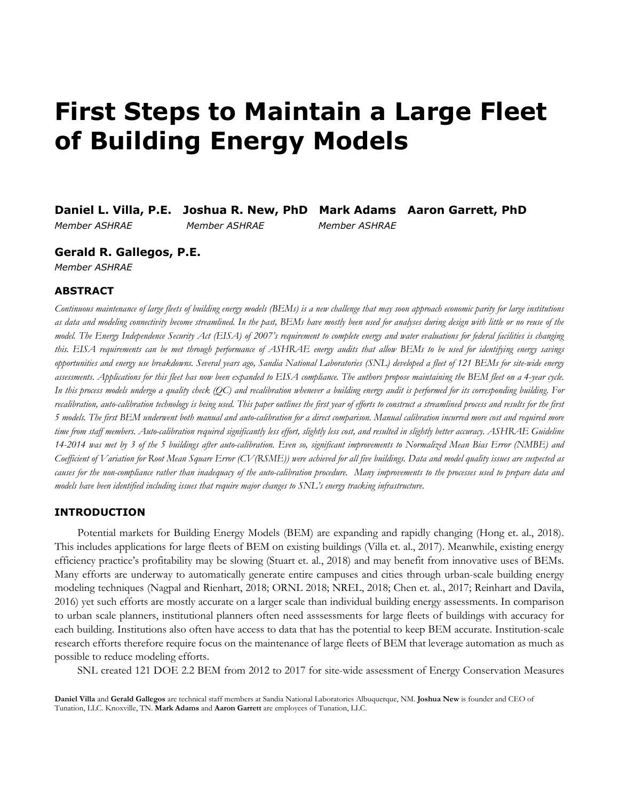# **First Steps to Maintain a Large Fleet of Building Energy Models**

**Daniel L. Villa, P.E. Joshua R. New, PhD Mark Adams Aaron Garrett, PhD** *Member ASHRAE Member ASHRAE Member ASHRAE*

**Gerald R. Gallegos, P.E.** 

*Member ASHRAE* 

## **ABSTRACT**

*Continuous maintenance of large fleets of building energy models (BEMs) is a new challenge that may soon approach economic parity for large institutions as data and modeling connectivity become streamlined. In the past, BEMs have mostly been used for analyses during design with little or no reuse of the model. The Energy Independence Security Act (EISA) of 2007's requirement to complete energy and water evaluations for federal facilities is changing this. EISA requirements can be met through performance of ASHRAE energy audits that allow BEMs to be used for identifying energy savings opportunities and energy use breakdowns. Several years ago, Sandia National Laboratories (SNL) developed a fleet of 121 BEMs for site-wide energy assessments. Applications for this fleet has now been expanded to EISA compliance. The authors propose maintaining the BEM fleet on a 4-year cycle. In this process models undergo a quality check (QC) and recalibration whenever a building energy audit is performed for its corresponding building. For recalibration, auto-calibration technology is being used. This paper outlines the first year of efforts to construct a streamlined process and results for the first 5 models. The first BEM underwent both manual and auto-calibration for a direct comparison. Manual calibration incurred more cost and required more time from staff members. Auto-calibration required significantly less effort, slightly less cost, and resulted in slightly better accuracy. ASHRAE Guideline 14-2014 was met by 3 of the 5 buildings after auto-calibration. Even so, significant improvements to Normalized Mean Bias Error (NMBE) and Coefficient of Variation for Root Mean Square Error (CV(RSME)) were achieved for all five buildings. Data and model quality issues are suspected as causes for the non-compliance rather than inadequacy of the auto-calibration procedure. Many improvements to the processes used to prepare data and models have been identified including issues that require major changes to SNL's energy tracking infrastructure.* 

### **INTRODUCTION**

Potential markets for Building Energy Models (BEM) are expanding and rapidly changing (Hong et. al., 2018). This includes applications for large fleets of BEM on existing buildings (Villa et. al., 2017). Meanwhile, existing energy efficiency practice's profitability may be slowing (Stuart et. al., 2018) and may benefit from innovative uses of BEMs. Many efforts are underway to automatically generate entire campuses and cities through urban-scale building energy modeling techniques (Nagpal and Rienhart, 2018; ORNL 2018; NREL, 2018; Chen et. al., 2017; Reinhart and Davila, 2016) yet such efforts are mostly accurate on a larger scale than individual building energy assessments. In comparison to urban scale planners, institutional planners often need asssessments for large fleets of buildings with accuracy for each building. Institutions also often have access to data that has the potential to keep BEM accurate. Institution-scale research efforts therefore require focus on the maintenance of large fleets of BEM that leverage automation as much as possible to reduce modeling efforts.

SNL created 121 DOE 2.2 BEM from 2012 to 2017 for site-wide assessment of Energy Conservation Measures

**Daniel Villa** and **Gerald Gallegos** are technical staff members at Sandia National Laboratories Albuquerque, NM. **Joshua New** is founder and CEO of Tunation, LLC. Knoxville, TN. **Mark Adams** and **Aaron Garrett** are employees of Tunation, LLC.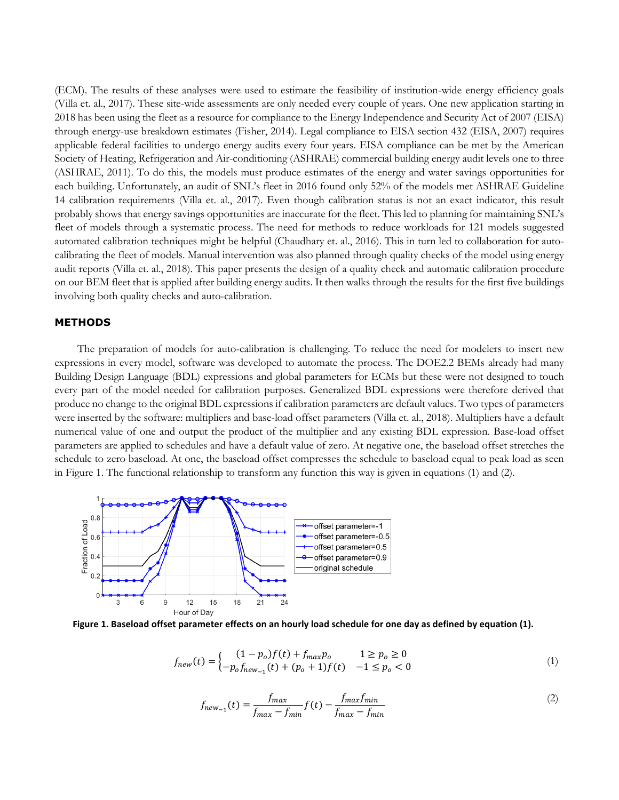(ECM). The results of these analyses were used to estimate the feasibility of institution-wide energy efficiency goals (Villa et. al., 2017). These site-wide assessments are only needed every couple of years. One new application starting in 2018 has been using the fleet as a resource for compliance to the Energy Independence and Security Act of 2007 (EISA) through energy-use breakdown estimates (Fisher, 2014). Legal compliance to EISA section 432 (EISA, 2007) requires applicable federal facilities to undergo energy audits every four years. EISA compliance can be met by the American Society of Heating, Refrigeration and Air-conditioning (ASHRAE) commercial building energy audit levels one to three (ASHRAE, 2011). To do this, the models must produce estimates of the energy and water savings opportunities for each building. Unfortunately, an audit of SNL's fleet in 2016 found only 52% of the models met ASHRAE Guideline 14 calibration requirements (Villa et. al., 2017). Even though calibration status is not an exact indicator, this result probably shows that energy savings opportunities are inaccurate for the fleet. This led to planning for maintaining SNL's fleet of models through a systematic process. The need for methods to reduce workloads for 121 models suggested automated calibration techniques might be helpful (Chaudhary et. al., 2016). This in turn led to collaboration for autocalibrating the fleet of models. Manual intervention was also planned through quality checks of the model using energy audit reports (Villa et. al., 2018). This paper presents the design of a quality check and automatic calibration procedure on our BEM fleet that is applied after building energy audits. It then walks through the results for the first five buildings involving both quality checks and auto-calibration.

#### **METHODS**

The preparation of models for auto-calibration is challenging. To reduce the need for modelers to insert new expressions in every model, software was developed to automate the process. The DOE2.2 BEMs already had many Building Design Language (BDL) expressions and global parameters for ECMs but these were not designed to touch every part of the model needed for calibration purposes. Generalized BDL expressions were therefore derived that produce no change to the original BDL expressions if calibration parameters are default values. Two types of parameters were inserted by the software: multipliers and base-load offset parameters (Villa et. al., 2018). Multipliers have a default numerical value of one and output the product of the multiplier and any existing BDL expression. Base-load offset parameters are applied to schedules and have a default value of zero. At negative one, the baseload offset stretches the schedule to zero baseload. At one, the baseload offset compresses the schedule to baseload equal to peak load as seen in [Figure 1.](#page-1-0) The functional relationship to transform any function this way is given in equations [\(1\)](#page-1-1) and [\(2\).](#page-1-2)



<span id="page-1-0"></span>**Figure 1. Baseload offset parameter effects on an hourly load schedule for one day as defined by equation (1).**

$$
f_{new}(t) = \begin{cases} (1 - p_o)f(t) + f_{max}p_o & 1 \ge p_o \ge 0\\ -p_o f_{new_{-1}}(t) + (p_o + 1)f(t) & -1 \le p_o < 0 \end{cases}
$$
(1)

<span id="page-1-2"></span><span id="page-1-1"></span>
$$
f_{new_{-1}}(t) = \frac{f_{max}}{f_{max} - f_{min}} f(t) - \frac{f_{max} f_{min}}{f_{max} - f_{min}} \tag{2}
$$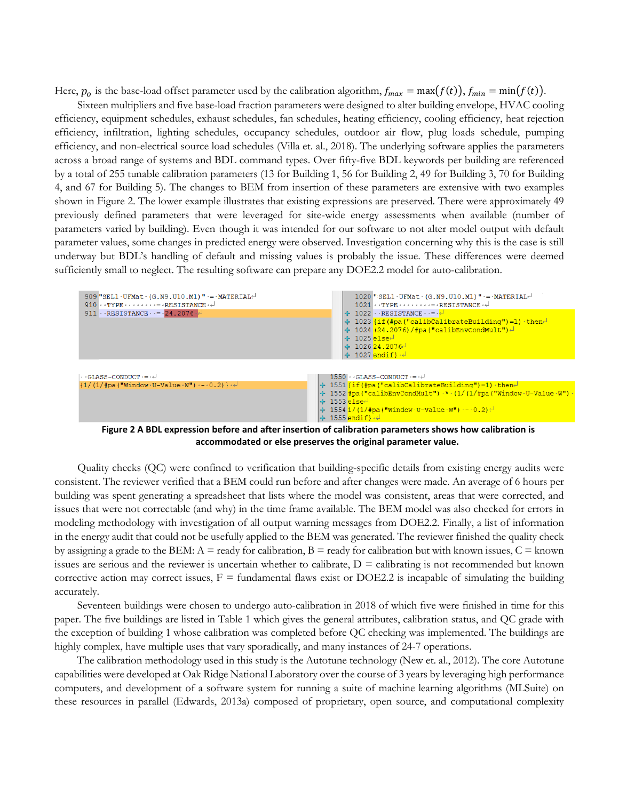Here,  $p_o$  is the base-load offset parameter used by the calibration algorithm,  $f_{max} = \max(f(t)), f_{min} = \min(f(t)).$ 

Sixteen multipliers and five base-load fraction parameters were designed to alter building envelope, HVAC cooling efficiency, equipment schedules, exhaust schedules, fan schedules, heating efficiency, cooling efficiency, heat rejection efficiency, infiltration, lighting schedules, occupancy schedules, outdoor air flow, plug loads schedule, pumping efficiency, and non-electrical source load schedules (Villa et. al., 2018). The underlying software applies the parameters across a broad range of systems and BDL command types. Over fifty-five BDL keywords per building are referenced by a total of 255 tunable calibration parameters (13 for Building 1, 56 for Building 2, 49 for Building 3, 70 for Building 4, and 67 for Building 5). The changes to BEM from insertion of these parameters are extensive with two examples shown in [Figure 2.](#page-2-0) The lower example illustrates that existing expressions are preserved. There were approximately 49 previously defined parameters that were leveraged for site-wide energy assessments when available (number of parameters varied by building). Even though it was intended for our software to not alter model output with default parameter values, some changes in predicted energy were observed. Investigation concerning why this is the case is still underway but BDL's handling of default and missing values is probably the issue. These differences were deemed sufficiently small to neglect. The resulting software can prepare any DOE2.2 model for auto-calibration.



**Figure 2 A BDL expression before and after insertion of calibration parameters shows how calibration is accommodated or else preserves the original parameter value.**

<span id="page-2-0"></span>Quality checks (QC) were confined to verification that building-specific details from existing energy audits were consistent. The reviewer verified that a BEM could run before and after changes were made. An average of 6 hours per building was spent generating a spreadsheet that lists where the model was consistent, areas that were corrected, and issues that were not correctable (and why) in the time frame available. The BEM model was also checked for errors in modeling methodology with investigation of all output warning messages from DOE2.2. Finally, a list of information in the energy audit that could not be usefully applied to the BEM was generated. The reviewer finished the quality check by assigning a grade to the BEM:  $A =$  ready for calibration,  $B =$  ready for calibration but with known issues,  $C =$  known issues are serious and the reviewer is uncertain whether to calibrate,  $D =$  calibrating is not recommended but known corrective action may correct issues,  $F =$  fundamental flaws exist or DOE2.2 is incapable of simulating the building accurately.

Seventeen buildings were chosen to undergo auto-calibration in 2018 of which five were finished in time for this paper. The five buildings are listed in [Table 1](#page-2-1) which gives the general attributes, calibration status, and QC grade with the exception of building 1 whose calibration was completed before QC checking was implemented. The buildings are highly complex, have multiple uses that vary sporadically, and many instances of 24-7 operations.

<span id="page-2-1"></span>The calibration methodology used in this study is the Autotune technology (New et. al., 2012). The core Autotune capabilities were developed at Oak Ridge National Laboratory over the course of 3 years by leveraging high performance computers, and development of a software system for running a suite of machine learning algorithms (MLSuite) on these resources in parallel (Edwards, 2013a) composed of proprietary, open source, and computational complexity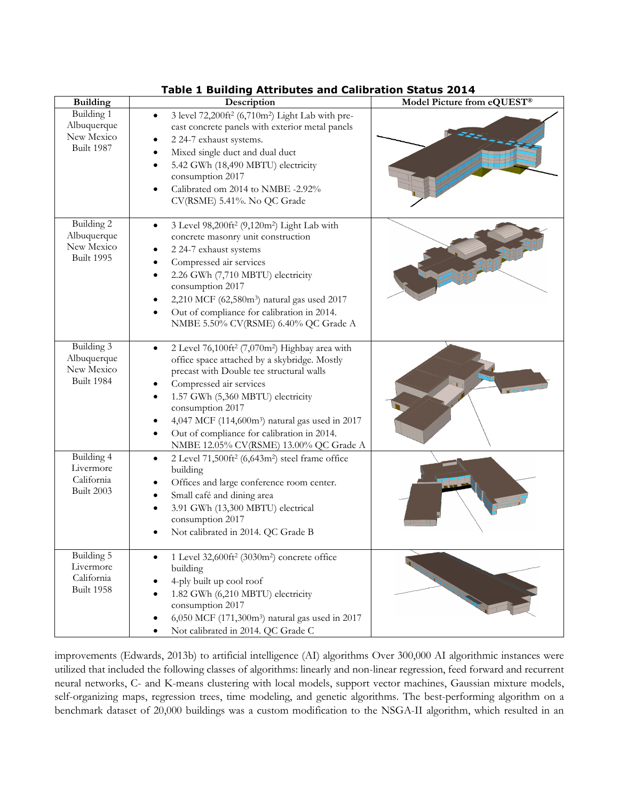| <b>Building</b>                                              | rable I building Attributes and Canbration Status 2014<br>Description                                                                                                                                                                                                                                                                                                                                         | Model Picture from eQUEST® |
|--------------------------------------------------------------|---------------------------------------------------------------------------------------------------------------------------------------------------------------------------------------------------------------------------------------------------------------------------------------------------------------------------------------------------------------------------------------------------------------|----------------------------|
| Building 1<br>Albuquerque<br>New Mexico<br>Built 1987        | 3 level 72,200ft <sup>2</sup> (6,710m <sup>2</sup> ) Light Lab with pre-<br>$\bullet$<br>cast concrete panels with exterior metal panels<br>2 24-7 exhaust systems.<br>Mixed single duct and dual duct<br>5.42 GWh (18,490 MBTU) electricity<br>$\bullet$<br>consumption 2017<br>Calibrated om 2014 to NMBE -2.92%<br>CV(RSME) 5.41%. No QC Grade                                                             |                            |
| Building 2<br>Albuquerque<br>New Mexico<br><b>Built 1995</b> | 3 Level 98,200ft <sup>2</sup> (9,120m <sup>2</sup> ) Light Lab with<br>$\bullet$<br>concrete masonry unit construction<br>2 24-7 exhaust systems<br>Compressed air services<br>2.26 GWh (7,710 MBTU) electricity<br>consumption 2017<br>2,210 MCF (62,580m <sup>3</sup> ) natural gas used 2017<br>Out of compliance for calibration in 2014.<br>NMBE 5.50% CV(RSME) 6.40% QC Grade A                         |                            |
| Building 3<br>Albuquerque<br>New Mexico<br>Built 1984        | 2 Level 76,100ft <sup>2</sup> (7,070m <sup>2</sup> ) Highbay area with<br>office space attached by a skybridge. Mostly<br>precast with Double tee structural walls<br>Compressed air services<br>1.57 GWh (5,360 MBTU) electricity<br>consumption 2017<br>4,047 MCF (114,600m <sup>3</sup> ) natural gas used in 2017<br>Out of compliance for calibration in 2014.<br>NMBE 12.05% CV(RSME) 13.00% QC Grade A |                            |
| Building 4<br>Livermore<br>California<br>Built 2003          | 2 Level 71,500ft <sup>2</sup> (6,643m <sup>2</sup> ) steel frame office<br>$\bullet$<br>building<br>Offices and large conference room center.<br>Small café and dining area<br>$\bullet$<br>3.91 GWh (13,300 MBTU) electrical<br>$\bullet$<br>consumption 2017<br>Not calibrated in 2014. QC Grade B                                                                                                          |                            |
| Building 5<br>Livermore<br>California<br><b>Built 1958</b>   | 1 Level 32,600ft <sup>2</sup> (3030m <sup>2</sup> ) concrete office<br>building<br>4-ply built up cool roof<br>1.82 GWh (6,210 MBTU) electricity<br>consumption 2017<br>6,050 MCF (171,300m <sup>3</sup> ) natural gas used in 2017<br>Not calibrated in 2014. QC Grade C                                                                                                                                     |                            |

## **Table 1 Building Attributes and Calibration Status 2014**

improvements (Edwards, 2013b) to artificial intelligence (AI) algorithms Over 300,000 AI algorithmic instances were utilized that included the following classes of algorithms: linearly and non-linear regression, feed forward and recurrent neural networks, C- and K-means clustering with local models, support vector machines, Gaussian mixture models, self-organizing maps, regression trees, time modeling, and genetic algorithms. The best-performing algorithm on a benchmark dataset of 20,000 buildings was a custom modification to the NSGA-II algorithm, which resulted in an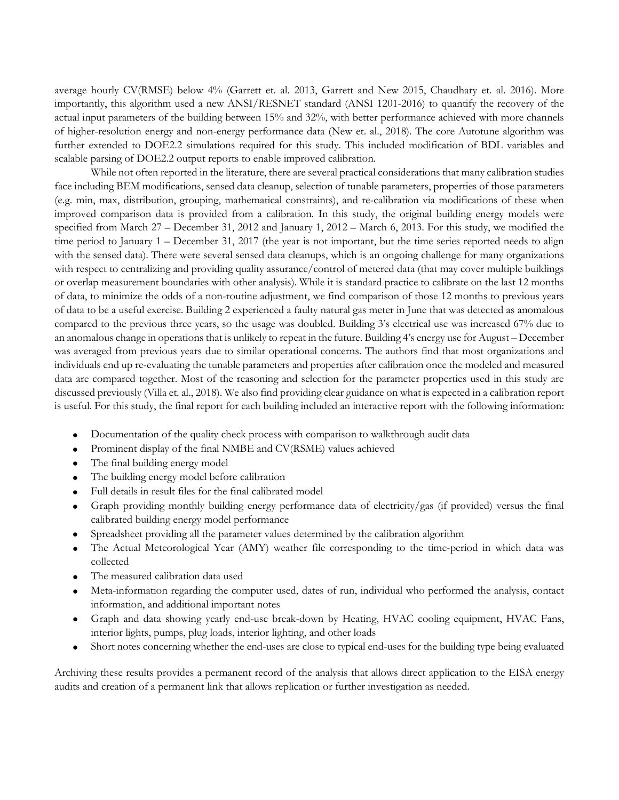average hourly CV(RMSE) below 4% (Garrett et. al. 2013, Garrett and New 2015, Chaudhary et. al. 2016). More importantly, this algorithm used a new ANSI/RESNET standard (ANSI 1201-2016) to quantify the recovery of the actual input parameters of the building between 15% and 32%, with better performance achieved with more channels of higher-resolution energy and non-energy performance data (New et. al., 2018). The core Autotune algorithm was further extended to DOE2.2 simulations required for this study. This included modification of BDL variables and scalable parsing of DOE2.2 output reports to enable improved calibration.

While not often reported in the literature, there are several practical considerations that many calibration studies face including BEM modifications, sensed data cleanup, selection of tunable parameters, properties of those parameters (e.g. min, max, distribution, grouping, mathematical constraints), and re-calibration via modifications of these when improved comparison data is provided from a calibration. In this study, the original building energy models were specified from March 27 – December 31, 2012 and January 1, 2012 – March 6, 2013. For this study, we modified the time period to January 1 – December 31, 2017 (the year is not important, but the time series reported needs to align with the sensed data). There were several sensed data cleanups, which is an ongoing challenge for many organizations with respect to centralizing and providing quality assurance/control of metered data (that may cover multiple buildings or overlap measurement boundaries with other analysis). While it is standard practice to calibrate on the last 12 months of data, to minimize the odds of a non-routine adjustment, we find comparison of those 12 months to previous years of data to be a useful exercise. Building 2 experienced a faulty natural gas meter in June that was detected as anomalous compared to the previous three years, so the usage was doubled. Building 3's electrical use was increased 67% due to an anomalous change in operations that is unlikely to repeat in the future. Building 4's energy use for August – December was averaged from previous years due to similar operational concerns. The authors find that most organizations and individuals end up re-evaluating the tunable parameters and properties after calibration once the modeled and measured data are compared together. Most of the reasoning and selection for the parameter properties used in this study are discussed previously (Villa et. al., 2018). We also find providing clear guidance on what is expected in a calibration report is useful. For this study, the final report for each building included an interactive report with the following information:

- Documentation of the quality check process with comparison to walkthrough audit data
- Prominent display of the final NMBE and CV(RSME) values achieved
- The final building energy model
- The building energy model before calibration
- Full details in result files for the final calibrated model
- Graph providing monthly building energy performance data of electricity/gas (if provided) versus the final calibrated building energy model performance
- Spreadsheet providing all the parameter values determined by the calibration algorithm
- The Actual Meteorological Year (AMY) weather file corresponding to the time-period in which data was collected
- The measured calibration data used
- Meta-information regarding the computer used, dates of run, individual who performed the analysis, contact information, and additional important notes
- Graph and data showing yearly end-use break-down by Heating, HVAC cooling equipment, HVAC Fans, interior lights, pumps, plug loads, interior lighting, and other loads
- Short notes concerning whether the end-uses are close to typical end-uses for the building type being evaluated

Archiving these results provides a permanent record of the analysis that allows direct application to the EISA energy audits and creation of a permanent link that allows replication or further investigation as needed.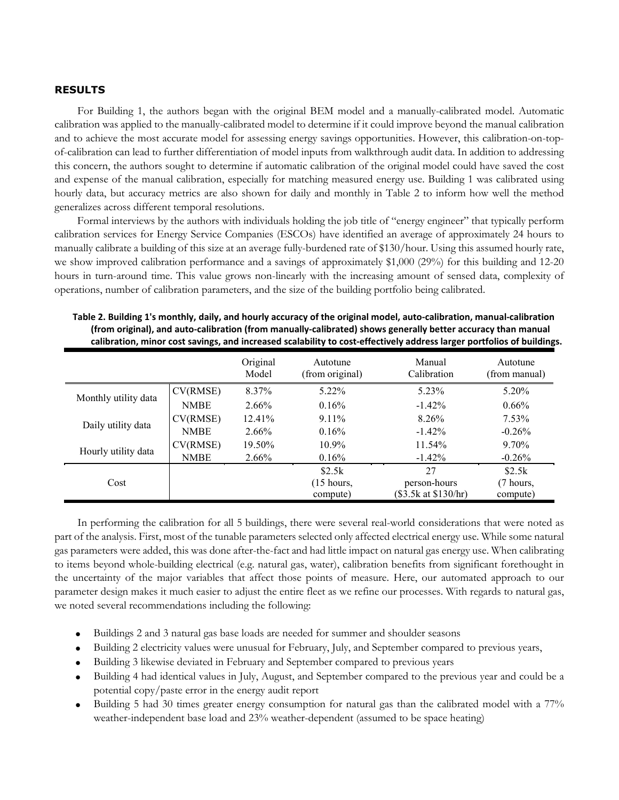## **RESULTS**

For Building 1, the authors began with the original BEM model and a manually-calibrated model. Automatic calibration was applied to the manually-calibrated model to determine if it could improve beyond the manual calibration and to achieve the most accurate model for assessing energy savings opportunities. However, this calibration-on-topof-calibration can lead to further differentiation of model inputs from walkthrough audit data. In addition to addressing this concern, the authors sought to determine if automatic calibration of the original model could have saved the cost and expense of the manual calibration, especially for matching measured energy use. Building 1 was calibrated using hourly data, but accuracy metrics are also shown for daily and monthly in [Table 2](#page-5-0) to inform how well the method generalizes across different temporal resolutions.

Formal interviews by the authors with individuals holding the job title of "energy engineer" that typically perform calibration services for Energy Service Companies (ESCOs) have identified an average of approximately 24 hours to manually calibrate a building of this size at an average fully-burdened rate of \$130/hour. Using this assumed hourly rate, we show improved calibration performance and a savings of approximately \$1,000 (29%) for this building and 12-20 hours in turn-around time. This value grows non-linearly with the increasing amount of sensed data, complexity of operations, number of calibration parameters, and the size of the building portfolio being calibrated.

|                      |             | Original<br>Model | Autotune<br>(from original) | Manual<br>Calibration | Autotune<br>(from manual) |
|----------------------|-------------|-------------------|-----------------------------|-----------------------|---------------------------|
|                      | CV(RMSE)    | 8.37%             | 5.22%                       | 5.23%                 | 5.20%                     |
| Monthly utility data | <b>NMBE</b> | 2.66%             | 0.16%                       | $-1.42\%$             | $0.66\%$                  |
|                      | CV(RMSE)    | 12.41%            | $9.11\%$                    | 8.26%                 | $7.53\%$                  |
| Daily utility data   | <b>NMBE</b> | 2.66%             | 0.16%                       | $-1.42%$              | $-0.26%$                  |
|                      | CV(RMSE)    | 19.50%            | $10.9\%$                    | 11.54%                | 9.70%                     |
| Hourly utility data  | <b>NMBE</b> | 2.66%             | 0.16%                       | $-1.42\%$             | $-0.26%$                  |
|                      |             |                   | \$2.5k                      | 27                    | \$2.5k                    |
| Cost                 |             |                   | $(15$ hours,                | person-hours          | (7 hours,                 |
|                      |             |                   | compute)                    | (\$3.5k at \$130/hr)  | compute)                  |

<span id="page-5-0"></span>**Table 2. Building 1's monthly, daily, and hourly accuracy of the original model, auto-calibration, manual-calibration (from original), and auto-calibration (from manually-calibrated) shows generally better accuracy than manual calibration, minor cost savings, and increased scalability to cost-effectively address larger portfolios of buildings.**

In performing the calibration for all 5 buildings, there were several real-world considerations that were noted as part of the analysis. First, most of the tunable parameters selected only affected electrical energy use. While some natural gas parameters were added, this was done after-the-fact and had little impact on natural gas energy use. When calibrating to items beyond whole-building electrical (e.g. natural gas, water), calibration benefits from significant forethought in the uncertainty of the major variables that affect those points of measure. Here, our automated approach to our parameter design makes it much easier to adjust the entire fleet as we refine our processes. With regards to natural gas, we noted several recommendations including the following:

- Buildings 2 and 3 natural gas base loads are needed for summer and shoulder seasons
- Building 2 electricity values were unusual for February, July, and September compared to previous years,
- Building 3 likewise deviated in February and September compared to previous years
- Building 4 had identical values in July, August, and September compared to the previous year and could be a potential copy/paste error in the energy audit report
- Building 5 had 30 times greater energy consumption for natural gas than the calibrated model with a 77% weather-independent base load and 23% weather-dependent (assumed to be space heating)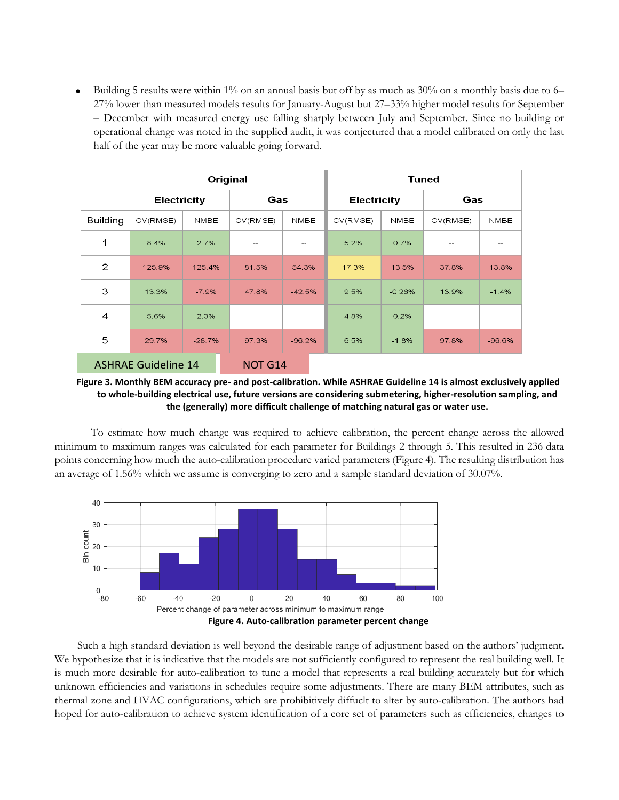• Building 5 results were within 1% on an annual basis but off by as much as 30% on a monthly basis due to 6– 27% lower than measured models results for January-August but 27–33% higher model results for September – December with measured energy use falling sharply between July and September. Since no building or operational change was noted in the supplied audit, it was conjectured that a model calibrated on only the last half of the year may be more valuable going forward.

|                            | Original           |          |                |          |                    | <b>Tuned</b> |          |                   |  |
|----------------------------|--------------------|----------|----------------|----------|--------------------|--------------|----------|-------------------|--|
|                            | <b>Electricity</b> |          | Gas            |          | <b>Electricity</b> |              | Gas      |                   |  |
| <b>Building</b>            | CV(RMSE)           | NMBE     | CV(RMSE)       | NMBE     | CV(RMSE)           | NMBE         | CV(RMSE) | NMBE              |  |
| 1                          | 8.4%               | 2.7%     | $- -$          |          | 5.2%               | 0.7%         |          |                   |  |
| $\mathbf{2}$               | 125.9%             | 125.4%   | 81.5%          | 54.3%    | 17.3%              | 13.5%        | 37.8%    | 13.8%             |  |
| 3                          | 13.3%              | $-7.9%$  | 47.8%          | $-42.5%$ | 9.5%               | $-0.26%$     | 13.9%    | $-1.4%$           |  |
| 4                          | 5.6%               | 2.3%     | $- -$          |          | 4.8%               | 0.2%         |          | $\qquad \qquad -$ |  |
| 5                          | 29.7%              | $-28.7%$ | 97.3%          | $-96.2%$ | 6.5%               | $-1.8%$      | 97.8%    | $-96.6%$          |  |
| <b>ASHRAE Guideline 14</b> |                    |          | <b>NOT G14</b> |          |                    |              |          |                   |  |

**Figure 3. Monthly BEM accuracy pre- and post-calibration. While ASHRAE Guideline 14 is almost exclusively applied to whole-building electrical use, future versions are considering submetering, higher-resolution sampling, and the (generally) more difficult challenge of matching natural gas or water use.**

To estimate how much change was required to achieve calibration, the percent change across the allowed minimum to maximum ranges was calculated for each parameter for Buildings 2 through 5. This resulted in 236 data points concerning how much the auto-calibration procedure varied parameters [\(Figure 4\)](#page-6-0). The resulting distribution has an average of 1.56% which we assume is converging to zero and a sample standard deviation of 30.07%.



<span id="page-6-0"></span>Such a high standard deviation is well beyond the desirable range of adjustment based on the authors' judgment. We hypothesize that it is indicative that the models are not sufficiently configured to represent the real building well. It is much more desirable for auto-calibration to tune a model that represents a real building accurately but for which unknown efficiencies and variations in schedules require some adjustments. There are many BEM attributes, such as thermal zone and HVAC configurations, which are prohibitively diffuclt to alter by auto-calibration. The authors had hoped for auto-calibration to achieve system identification of a core set of parameters such as efficiencies, changes to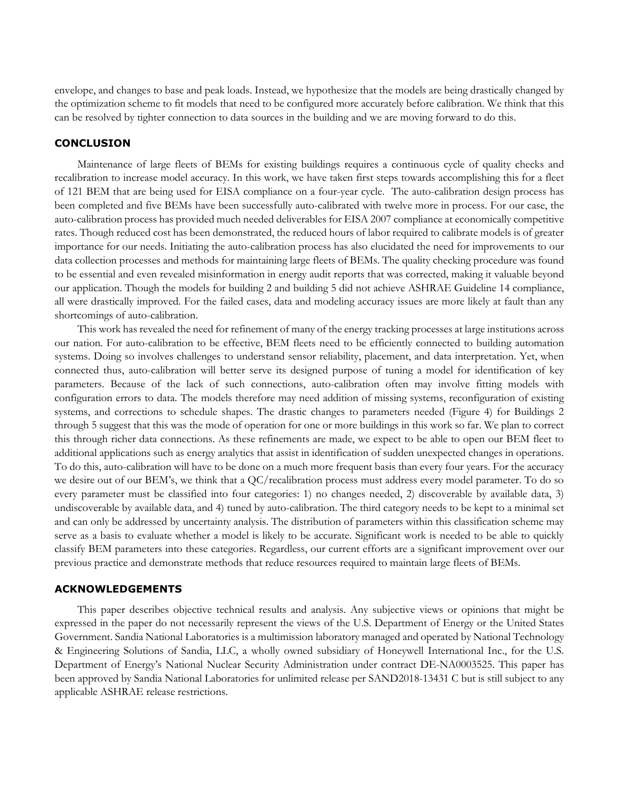envelope, and changes to base and peak loads. Instead, we hypothesize that the models are being drastically changed by the optimization scheme to fit models that need to be configured more accurately before calibration. We think that this can be resolved by tighter connection to data sources in the building and we are moving forward to do this.

## **CONCLUSION**

Maintenance of large fleets of BEMs for existing buildings requires a continuous cycle of quality checks and recalibration to increase model accuracy. In this work, we have taken first steps towards accomplishing this for a fleet of 121 BEM that are being used for EISA compliance on a four-year cycle. The auto-calibration design process has been completed and five BEMs have been successfully auto-calibrated with twelve more in process. For our case, the auto-calibration process has provided much needed deliverables for EISA 2007 compliance at economically competitive rates. Though reduced cost has been demonstrated, the reduced hours of labor required to calibrate models is of greater importance for our needs. Initiating the auto-calibration process has also elucidated the need for improvements to our data collection processes and methods for maintaining large fleets of BEMs. The quality checking procedure was found to be essential and even revealed misinformation in energy audit reports that was corrected, making it valuable beyond our application. Though the models for building 2 and building 5 did not achieve ASHRAE Guideline 14 compliance, all were drastically improved. For the failed cases, data and modeling accuracy issues are more likely at fault than any shortcomings of auto-calibration.

This work has revealed the need for refinement of many of the energy tracking processes at large institutions across our nation. For auto-calibration to be effective, BEM fleets need to be efficiently connected to building automation systems. Doing so involves challenges to understand sensor reliability, placement, and data interpretation. Yet, when connected thus, auto-calibration will better serve its designed purpose of tuning a model for identification of key parameters. Because of the lack of such connections, auto-calibration often may involve fitting models with configuration errors to data. The models therefore may need addition of missing systems, reconfiguration of existing systems, and corrections to schedule shapes. The drastic changes to parameters needed [\(Figure 4\)](#page-6-0) for Buildings 2 through 5 suggest that this was the mode of operation for one or more buildings in this work so far. We plan to correct this through richer data connections. As these refinements are made, we expect to be able to open our BEM fleet to additional applications such as energy analytics that assist in identification of sudden unexpected changes in operations. To do this, auto-calibration will have to be done on a much more frequent basis than every four years. For the accuracy we desire out of our BEM's, we think that a QC/recalibration process must address every model parameter. To do so every parameter must be classified into four categories: 1) no changes needed, 2) discoverable by available data, 3) undiscoverable by available data, and 4) tuned by auto-calibration. The third category needs to be kept to a minimal set and can only be addressed by uncertainty analysis. The distribution of parameters within this classification scheme may serve as a basis to evaluate whether a model is likely to be accurate. Significant work is needed to be able to quickly classify BEM parameters into these categories. Regardless, our current efforts are a significant improvement over our previous practice and demonstrate methods that reduce resources required to maintain large fleets of BEMs.

## **ACKNOWLEDGEMENTS**

This paper describes objective technical results and analysis. Any subjective views or opinions that might be expressed in the paper do not necessarily represent the views of the U.S. Department of Energy or the United States Government. Sandia National Laboratories is a multimission laboratory managed and operated by National Technology & Engineering Solutions of Sandia, LLC, a wholly owned subsidiary of Honeywell International Inc., for the U.S. Department of Energy's National Nuclear Security Administration under contract DE-NA0003525. This paper has been approved by Sandia National Laboratories for unlimited release per SAND2018-13431 C but is still subject to any applicable ASHRAE release restrictions.